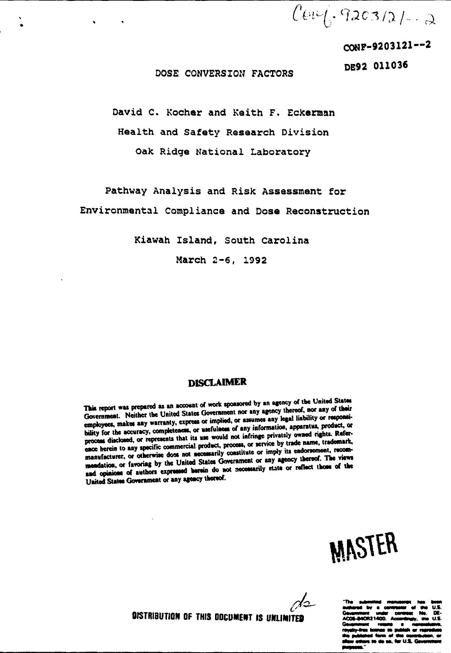$Cov\left(-9203/21\right)-2$ 

CONP-9203121—2

DE92 011036

#### DOSE CONVERSION FACTORS

David C. Kocher and Keith F. Eckerman Health and Safety Research Division Oak Ridge National Laboratory

Pathway Analysis and Risk Assessment for Environmental Compliance and Dose Reconstruction

Kiawah Island, South Carolina

March 2-6, 1992

### **DISCLAIMER**

This report was prepared as an account of work sponsored by an agency of the United States Government. Neither the United States Government nor any agency thereof, nor any of their employees, makes any warranty, express or implied, or assumes any legal liability or responsi**bility for the accuracy, completeness, or usefulness of any information, apparatus, product, or** process disclosed, or represents that its use would not infringe privately owned rights. Reference herein to any specific commercial product, process, or service by trade name, trademark, manufacturer, or otherwise doss not necessarily constitute or imply its endorsement, recom**mendation, or favoring by the United Stales Government or any agency thereof. The views** and opinions of authors expressed herein do not necessarily state or reflect those of the **United States Government or any agency thereof.**



 $\Delta$ 2

**"Th»**

**DISTRIBUTION OF THIS DOCUMENT IS UNLIMITED**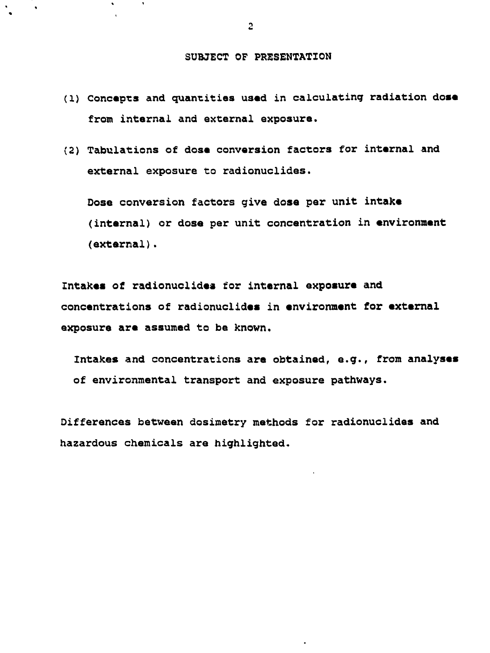#### **SUBJECT OF PRESENTATION**

- **(1) Concepts and quantities used in calculating radiation dose from internal and external exposure.**
- **(2) Tabulations of dose conversion factors for internal and external exposure to radionuclides.**

**Dose conversion factors give dose per unit intake (internal) or dose per unit concentration in environment (external).**

**Intakes of radionuclidea for internal exposure and concentrations of radionuclides in environment for external exposure are assumed to be known.**

**Intakes and concentrations are obtained, e.g., from analyses of environmental transport and exposure pathways.**

**Differences between dosimetry methods for radionuclides and hazardous chemicals are highlighted.**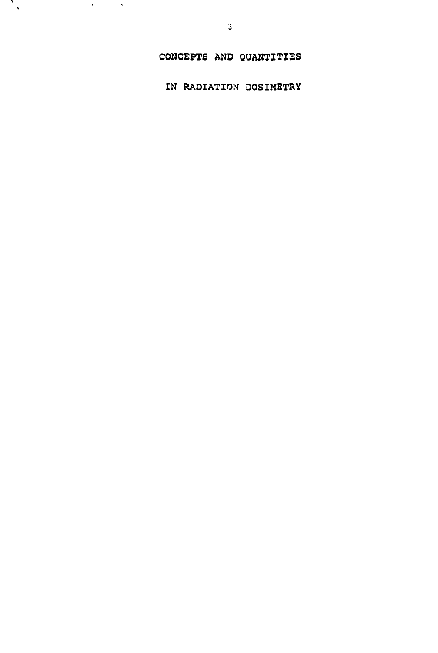CONCEPTS AND QUANTITIES

IN RADIATION DOSIMETRY

 $\mathcal{L}_{\mathcal{A}}$ 

 $\mathcal{L}^{\text{max}}_{\text{max}}$  and  $\mathcal{L}^{\text{max}}_{\text{max}}$ 

 $\sim 10^{11}$  M  $_{\odot}$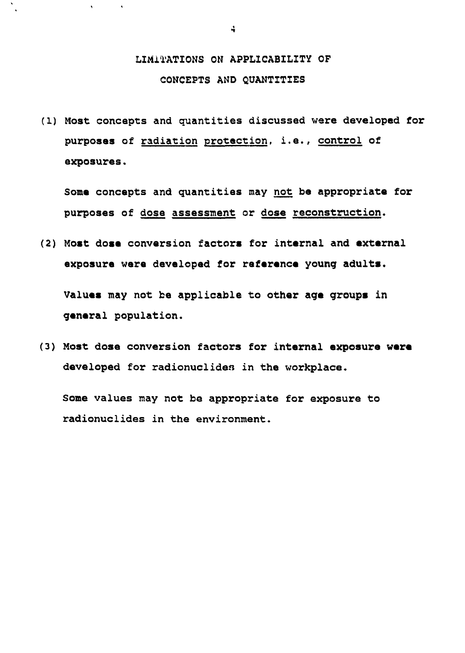## **LIMITATIONS ON APPLICABILITY OF CONCEPTS AND QUANTITIES**

**(1) Most concepts and quantities discussed were developed for purposes of radiation protection, i.e., control of exposures.**

**Some concepts and quantities may not be appropriate for purposes of dose assessment or dose reconstruction.**

**(2) Most dose conversion factors for internal and external exposure were developed for reference young adults.**

**Values may not be applicable to other age groups in general population.**

**(3) Most dose conversion factors for internal exposure were developed for radionuclides in the workplace.**

**Some values may not be appropriate for exposure to radionuclides in the environment.**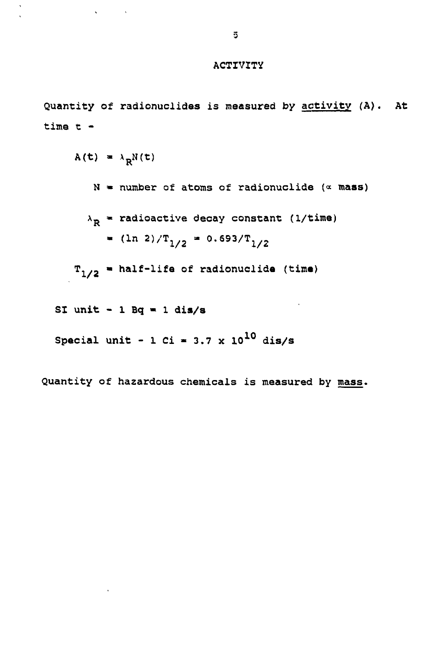#### **ACTIVITY**

quantity of radionuclides is measured by activity (A). At  
\ntime t -  
\n
$$
A(t) = \lambda_R N(t)
$$
\nN = number of atoms of radionuclide (~ mass)

\n
$$
\lambda_R = \text{radioactive decay constant} (1/\text{time})
$$

\n
$$
= (\ln 2)/T_{1/2} = 0.693/T_{1/2}
$$

\n
$$
T_{1/2} = \text{half-life of radionuclide (time)}
$$

\nST unit - 1 Bq = 1 dis/s

\nSpecial unit - 1 Ci = 3.7 x 10<sup>10</sup> dis/s

**Quantity of hazardous chemicals is measured by mass.**

 $\hat{\mathbf{v}}$ 

l,

 $\mathcal{L}(\mathbf{S})$  and  $\mathcal{L}(\mathbf{S})$ 

 $\hat{\mathbf{r}}$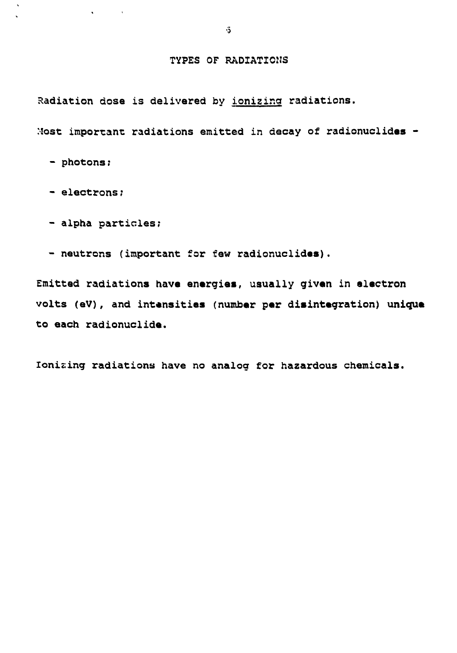#### **TYPES OF RADIATIONS**

**Radiation dose is delivered by ionizing radiations.**

**Most important radiations emitted in decay of radionuclidas -**

**- photons:**

 $\mathbf{v}$ 

**- electrons;**

**- alpha particles;**

 $\bullet$  -  $\bullet$  -  $\bullet$  -  $\bullet$  -  $\bullet$ 

**- neutrons (important for few radionuclidas).**

**Emitted radiations have energies, usually givan in electron volts (eV), and intensities (number par disintegration) unique to each radionuclida.**

**Ionizing radiations have no analog for hazardous chemicals.**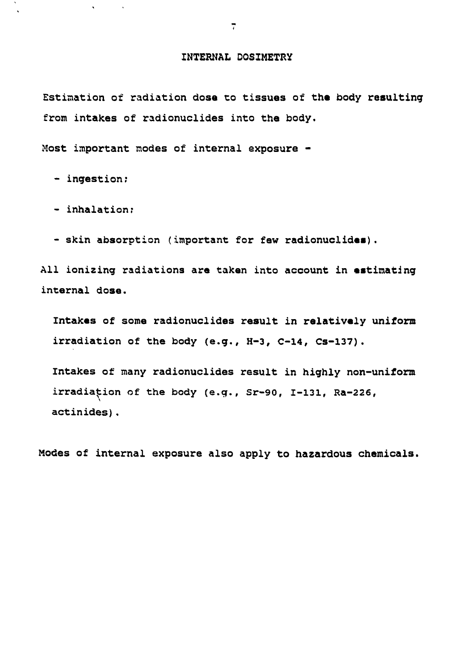#### **INTERNAL D0S1METRY**

**Estimation of radiation dosa to tissues of the body resulting from intakes of radionuclides into the body.**

**Most important modes of internal exposure -**

**- ingestion;**

 $\mathbf{v}$ 

**- inhalation;**

**- skin absorption (important for few radionuclides).**

**All ionizing radiations are taken into account in estimating internal dose.**

**Intakes of some radionuclides result in relatively uniform irradiation of the body (e.g., H-3, C-14, Cs-137).**

**Intakes of many radionuclides result in highly non-uniform irradiation of the body (e.g., Sr-90, 1-131, Ra-226, actinides).**

**Modes of internal exposure also apply to hazardous chemicals.**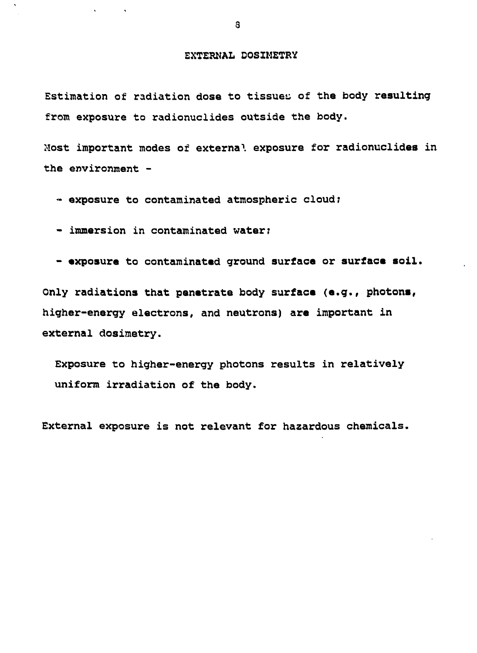#### **EXTERNAL DOSIMETRY**

**Estimation of radiation dose to tissues of the body resulting from exposure to radionuclides outside the body.**

**Most important modes of externa<sup>1</sup>. exposure for radionuclides in the environment -**

- **exposure to contaminated atmospheric cloud;**
- **immersion in contaminated water?**
- **exposure to contaminated ground surface or surface soil.**

**Only radiations that penetrate body surface (e.g., photons, higher-energy electrons, and neutrons) are important in external dosimetry.**

**Exposure to higher-energy photons results in relatively uniform irradiation of the body.**

**External exposure is not relevant for hazardous chemicals.**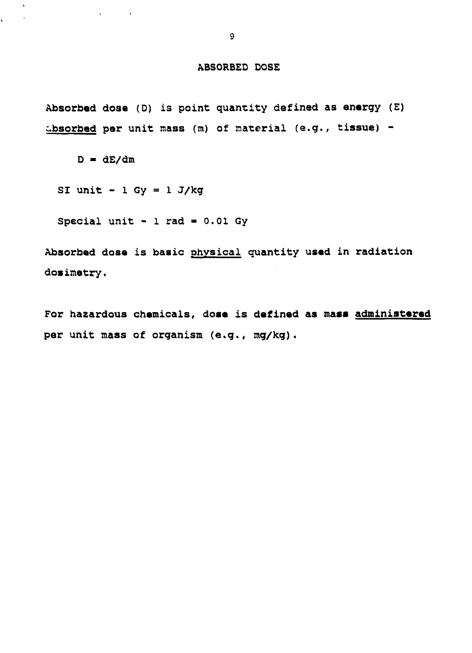#### **ABSORBED DOSE**

**Absorbed dose (D) is point quantity defined as energy (E) absorbed per unit mass (m) of material (e.g., tissue) -**

 $D = dE/dm$ 

**CALCULATION** 

 $\ddot{\phantom{a}}$ 

 $\mathcal{L}$ 

**SI unit - l Gy = 1 J/kg**

**Special unit - 1 rad » 0.01 Gy**

**Absorbed dose is basic physical quantity used in radiation dosiiaetry.**

**For hazardous chemicals, dose is defined as mass administered per unit mass of organism (e.g., mg/kg).**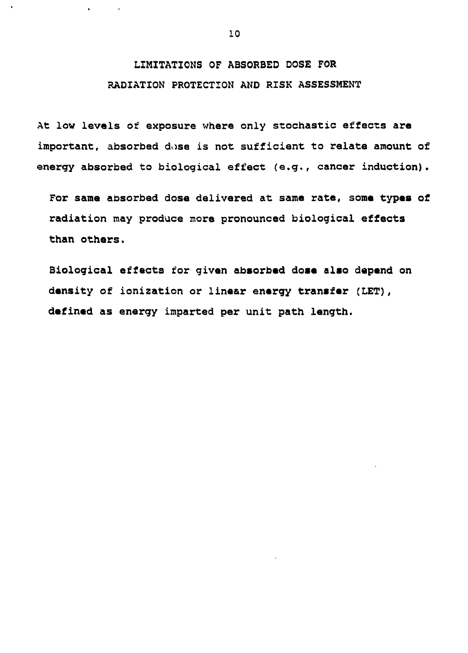## **LIMITATIONS OF ABSORBED DOSE FOR RADIATION PROTECTION AND RISK ASSESSMENT**

**At low levels of exposure where only stochastic effects are important, absorbed dose is not sufficient to relate amount of energy absorbed to biological effect (e.g., cancer induction).**

**For sane absorbed dose delivered at same rate, some types of radiation may produce more pronounced biological effects than others.**

**Biological effects for given absorbed dose also depend on density of ionization or linear energy transfer (LET), defined as energy imparted per unit path length.**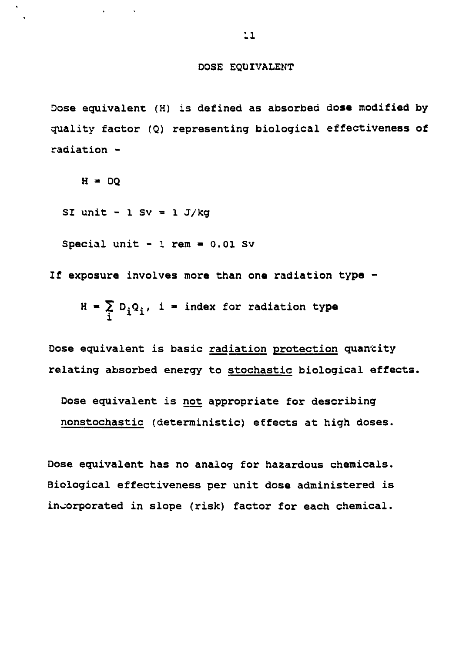#### **DOSE EQUIVALENT**

**Dose equivalent (H) is defined as absorbed dose modified by quality factor (Q) representing biological effectiveness of radiation -**

 $H = DQ$ 

**SI unit - l Sv = l j/kg**

**Special unit - 1 rem • 0.01 Sv**

**If exposure involves more than one radiation type -**

 $H = \sum D_i Q_i$ , i = index for radiation type  $\overline{\mathbf{i}}$  **x**  $\overline{\mathbf{j}}$ 

**Dose equivalent is basic radiation protection quantity relating absorbed energy to stochastic biological effects.**

**Dose equivalent is not appropriate for describing nonstochastic (deterministic) effects at high doses.**

**Dose equivalent has no analog for hazardous chemicals. Biological effectiveness per unit dose administered is incorporated in slope (risk) factor for each chemical.**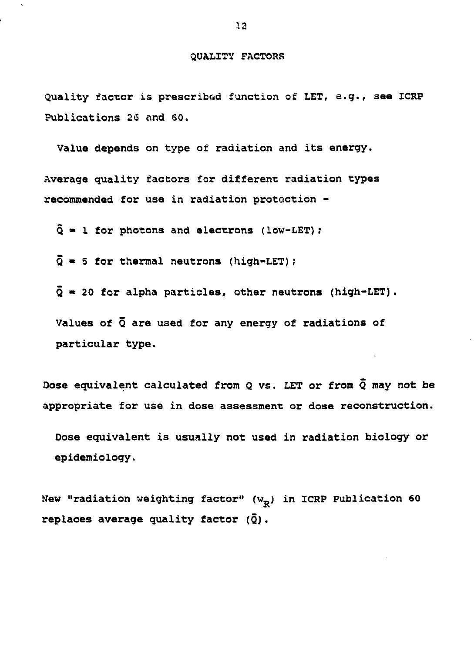#### **QUALITY FACTORS**

**Quality factor is prescribed function of LET, e.g., see ICRP Publications 26 and 60.**

**Value depends on type of radiation and its energy.**

**Average quality factors for different radiation types recommended for use in radiation protection -**

**Q \* 1 for photons and electrons (low-LET);**

**Q • 5 for thermal neutrons (high-LET)?**

**Q « 20 for aipha particles, other neutrons (high-LET).**

**Values of Q are used for any energy of radiations of particular type.**

**Oose equivalent calculated from Q vs. LET or from Q may not be appropriate for use in dose assessment: or dose reconstruction.**

Ň,

**Dose equivalent is usually not used in radiation biology or epidemiology.**

New "radiation weighting factor" (w<sub>p</sub>) in ICRP Publication 60 **replaces average quality factor (Q).**

**12**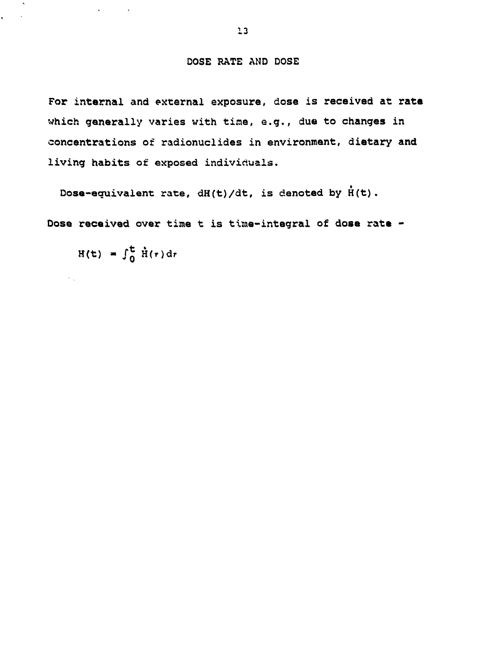#### **DOSE RATE AND DOSE**

**For internal and external exposure, dose is received at rats which generally varies with tine, e.g., due to changes in concentrations of radionuclides in environment, dietary and living habits of exposed individuals.**

**Dose-equivalent rate, dH(t)/dt, is denoted by H(t).**

**Dose received over time t is time-integral of dose rats -**

 $H(t) = \int_0^t \dot{H}(r) dr$ 

 $\mathcal{N}_{\rm{out}}$ 

 $\mathcal{A}^{\text{max}}$  and  $\mathcal{A}^{\text{max}}$ 

 $\mathcal{C}^{\text{max}}$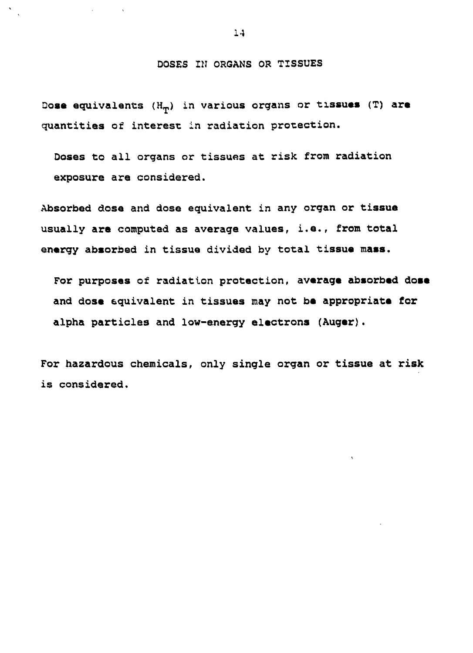#### **DOSES IN ORGANS OR TISSUES**

**Dose equivalents (HT) in various organs or tissues (T) are quantities of interest in radiation protection.**

**Doses to all organs or tissues at risk from radiation exposure are considered.**

**Absorbed dose and dose equivalent in any organ or tissue usually are computed as average values, i.e., from total energy absorbed in tissue divided by total tissue mass.**

**For purposes of radiation protection, average absorbed dose and dose equivalent in tissues may not be appropriate for alpha particles and low-energy electrons (Auger).**

**For hazardous chemicals, only single organ or tissue at risk is considered.**

**1-1**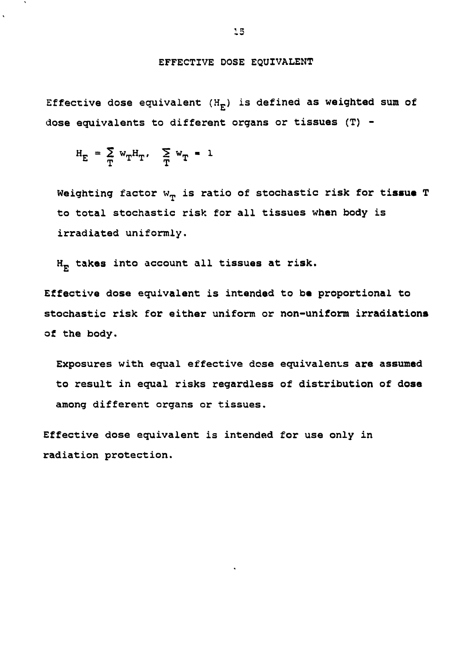### EFFECTIVE DOSE EQUIVALENT

Effective dose equivalent  $(H_{E})$  is defined as weighted sum of dose equivalents to different organs or tissues (T) -

$$
H_E = \sum_{T} w_T H_T, \quad \sum_{T} w_T = 1
$$

Weighting factor  $w_{\rm T}$  is ratio of stochastic risk for tissue T to total stochastic risk for all tissues when body is irradiated uniformly.

 $H_F$  takes into account all tissues at risk.

Effective dose equivalent is intended to be proportional to stochastic risk for either uniform or non-uniform irradiations of the body.

Exposures with equal effective dose equivalents are assumed to result in equal risks regardless of distribution of dose among different organs or tissues.

Effective dose equivalent is intended for use only in radiation protection.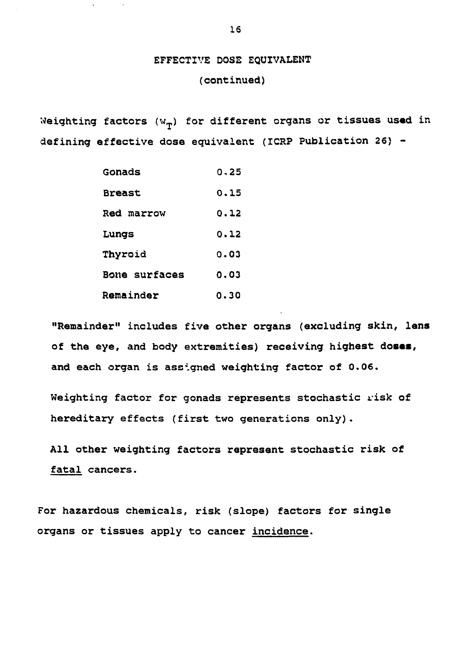# EFFECTIVE DOSE EQUIVALENT

### (continued)

Weighting factors  $(w_{\pi})$  for different organs or tissues used in defining effective dose equivalent (ICRP Publication 26) -

| Gonads        | 0.25 |
|---------------|------|
| <b>Breast</b> | 0.15 |
| Red marrow    | 0.12 |
| Lungs         | 0.12 |
| Thyroid       | 0.03 |
| Bone surfaces | 0.03 |
| Remainder     | 0.30 |

"Remainder" includes five other organs (excluding skin, lens of the eye, and body extremities) receiving highest doses, and each organ is assigned weighting factor of 0.06.

Weighting factor for gonads represents stochastic risk of hereditary effects (first two generations only).

All other weighting factors represent stochastic risk of fatal cancers.

For hazardous chemicals, risk (slope) factors for single organs or tissues apply to cancer incidence.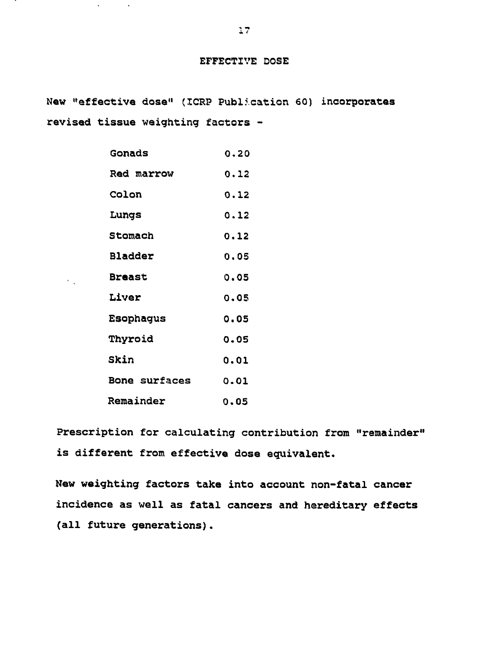#### **EFFECTIVE DOSE**

**New "effective dose" (ICRP Publication 60) incorporates revised tissue weighting factors -**

| Gonads               | 0.20 |
|----------------------|------|
| Red marrow           | 0.12 |
| Colon                | 0.12 |
| Lungs                | 0.12 |
| Stomach              | 0.12 |
| Bladder              | 0.05 |
| <b>Breast</b>        | 0.05 |
| Liver                | 0.05 |
| Esophagus            | 0.05 |
| Thyroid              | 0.05 |
| Skin                 | 0.01 |
| <b>Bone surfaces</b> | 0.01 |
| Remainder            | 0.O5 |

 $\sim 10^{11}$   $\rm s$ 

 $\chi^{\pm}$ 

 $\sum_{\mathbf{k}}$ 

**Prescription for calculating contribution from "remainder" is different from effective dose equivalent.**

**New weighting factors take into account non-fatal cancer incidence as well as fatal cancers and hereditary effects (all future generations).**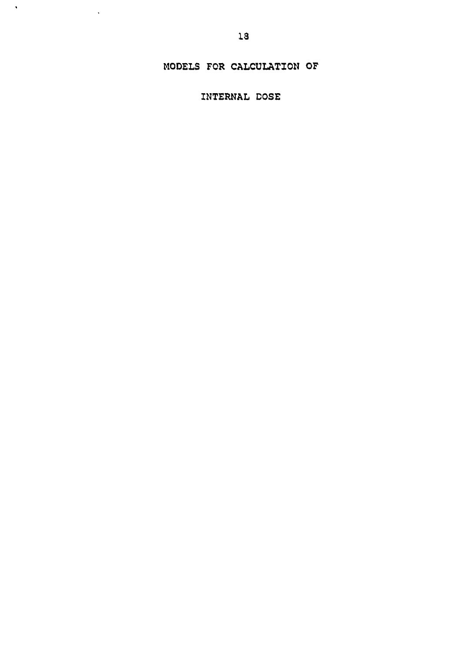## MODELS FOR CALCULATION OF

INTERNAL DOSE

 $\langle \cdot, \cdot \rangle$ 

 $\sim 100$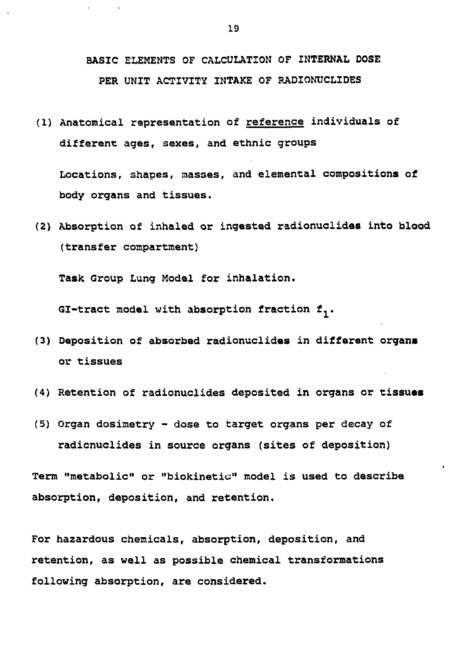## BASIC ELEMENTS OF CALCULATION OF INTERNAL DOSE PER UNIT ACTIVITY INTAKE OF RADIONUCLIDES

(1) Anatomical representation of reference individuals of different ages, sexes, and ethnic groups

Locations, shapes, masses, and elemental compositions of body organs and tissues.

(2) Absorption of inhaled or ingested radionuclides into blood (transfer compartment)

Task Group Lung Model for inhalation.

GI-tract model with absorption fraction  $f_1$ .

- (3) Deposition of absorbed radionuclides in different organs or tissues
- (4) Retention of radionuclides deposited in organs or tissues
- (5) Organ dosimetry dose to target organs per decay of radicnuclides in source organs (sites of deposition)

Term "metabolic" or "biokinetic" model is used to describe absorption, deposition, and retention.

For hazardous chemicals, absorption, deposition, and retention, as well as possible chemical transformations following absorption, are considered.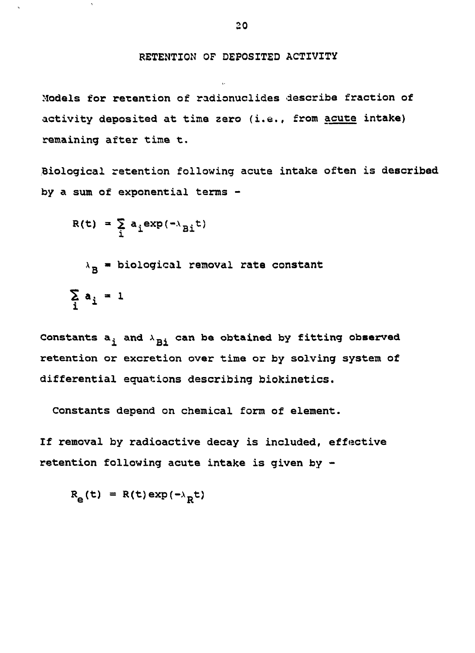#### RETENTION OF DEPOSITED ACTIVITY

Models for retention of radionuclides describe fraction of activity deposited at time zero (i.e., from acute intake) remaining after time t.

Biological retention following acute intake often is described by a sum of exponential terms -

$$
R(t) = \sum_{i} a_i exp(-\lambda_{Bi} t)
$$

 $\lambda_{\rm R}$  = biological removal rate constant  $\sum_{i} a_i = 1$ 

Constants  $a_i$  and  $\lambda_{Ri}$  can be obtained by fitting observed retention or excretion over time or by solving system of differential equations describing biokinetics.

Constants depend on chemical form of element.

If removal by radioactive decay is included, effective retention following acute intake is given by -

 $R_{\mathbf{a}}(\mathbf{t}) = R(\mathbf{t}) \exp(-\lambda_{\mathbf{B}}\mathbf{t})$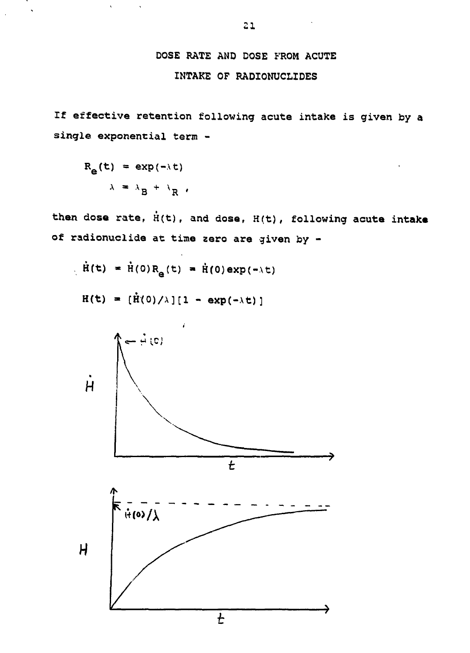## **DOSE RATE AND DOSE FROM ACUTE INTAKE OF RADIONUCLIDES**

**If effective retention following acute intake is given by a single exponential term -**

$$
R_{\mathbf{e}}(t) = \exp(-\lambda t)
$$

$$
\lambda = \lambda_{\mathbf{B}} + \lambda_{\mathbf{R}}.
$$

 $\sim$   $\sim$ 

 $\mathbf{v}_i$ 

 $\hat{\phantom{a}}$ 

 $\overline{a}$ 

then dose rate,  $\dot{H}(t)$ , and dose,  $H(t)$ , following acute intake **of radionuclide at time zero are given by -**

$$
\dot{H}(t) = \dot{H}(0)R_{\theta}(t) = \dot{H}(0)exp(-\lambda t)
$$

 $H(t) = [\dot{H}(0)/\lambda][1 - exp(-\lambda t)]$ 

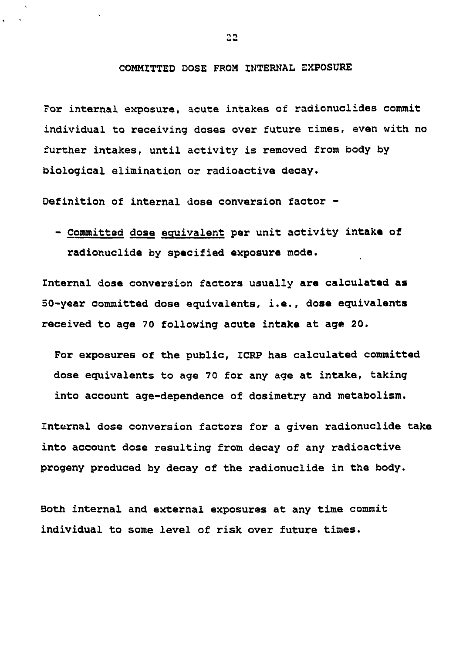#### **COMMITTED DOSE FROM INTERNAL EXPOSURE**

**For internal exposure, acute intakes of radionuclides commit individual to receiving doses over future times, even with no further intakes, until activity is removed from body by biological elimination or radioactive decay.**

**Definition of internal dose conversion factor -**

**- Committed dose equivalent per unit activity intake of radionuclide by specified exposure mode.**

**Internal dose conversion factors usually are calculated as 50-year committed dose equivalents, i.e., dose equivalents received to age 70 following acute intake at ag« 20.**

**For exposures of the public, ICRP has calculated committed dose equivalents to age 70 for any age at intake, taking into account age-dependence of dosimetry and metabolism.**

**Internal dose conversion factors for a given radionuclide take into account dose resulting from decay of any radioactive progeny produced by decay of the radionuclide in the body.**

**Both internal and external exposures at any time commit individual to some level of risk over future times.**

22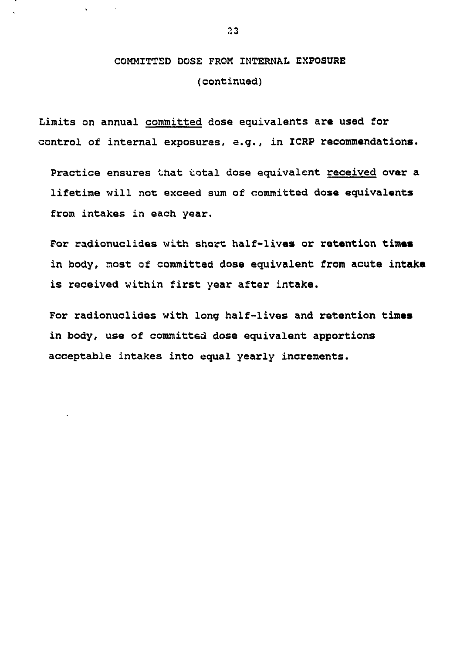## COMMITTED DOSE FROM INTERNAL EXPOSURE (continued)

Limits on annual committed dose equivalents are used for control of internal exposures, e.g., in ICRP recommendations.

Practice ensures that total dose equivalent received over a lifetime will not exceed sum of committed dose equivalents from intakes in each year.

For radionuclides with short half-lives or retention times in body, most of committed dose equivalent from acute intake is received within first year after intake.

For radionuclides with long half-lives and retention times in body, use of committed dose equivalent apportions acceptable intakes into equal yearly increments.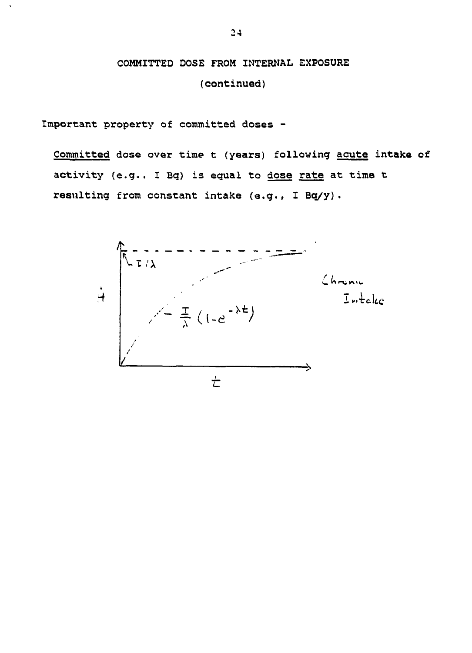# COMMITTED DOSE FROM INTERNAL EXPOSURE

(continued)

Important property of committed doses -

Committed dose over time t (years) following acute intake of activity (e.g.. I Bq) is equal to dose rate at time t resulting from constant intake (e.g., I Bq/y).

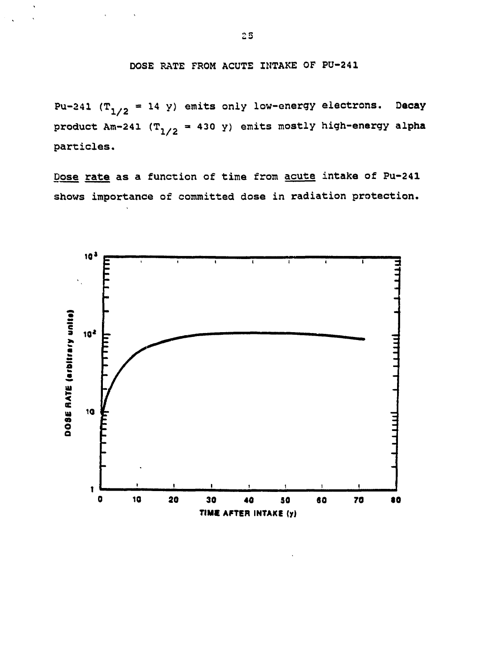DOSE RATE FROM ACUTE INTAKE OF PU-241

Pu-241 ( $T_{1/2}$  = 14 y) emits only low-energy electrons. Decay product Am-241 ( $T_{1/2}$  = 430 y) emits mostly high-energy alpha particles.

Dose rate as a function of time from acute intake of Pu-241 shows importance of committed dose in radiation protection.

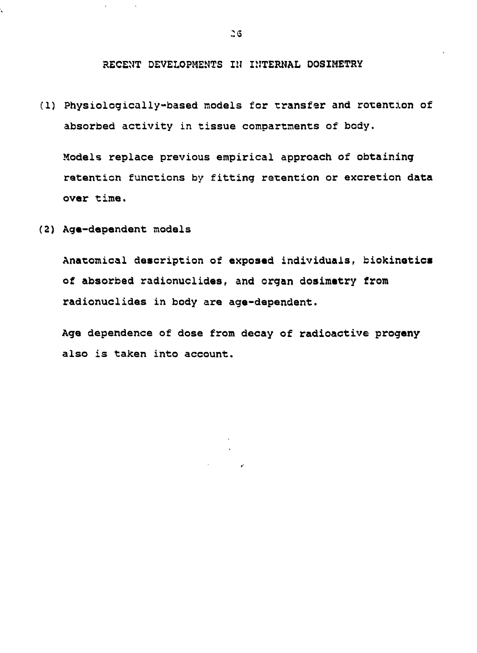**RECENT DEVELOPMENTS IN INTERNAL DOSIMETRY**

**(1) Physiologically-based models for transfer and retention of absorbed activity in tissue compartments of body.**

**Models replace previous empirical approach of obtaining retention functions by fitting retention or excretion data over time.**

**(2) Age-dependent models**

**Anatomical description of exposed individuals, biokinotics of absorbed radionuclides, and organ dosimatry from radionuclides in body are age-dependent.**

**Age dependence of dose from decay of radioactive progeny also is taken into account.**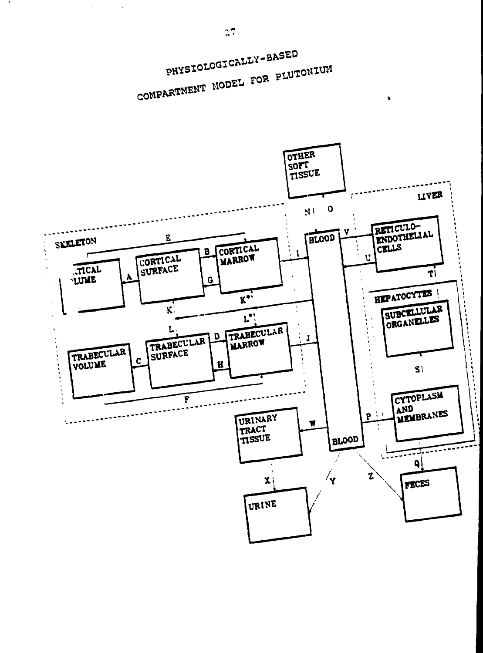

PHYSIOLOGICALLY-BASED COMPARTMENT MODEL FOR PLUTONIUM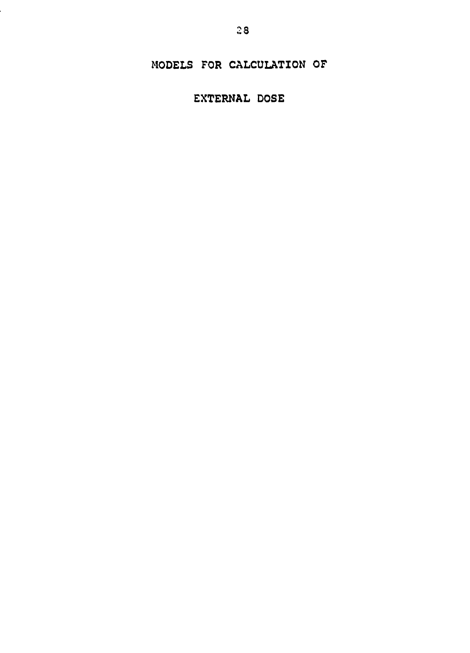### MODELS FOR CALCULATION OF

## EXTERNAL DOSE

Į.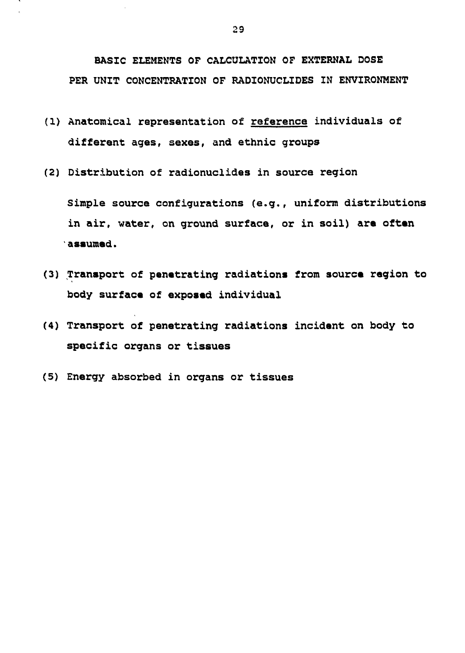**BASIC ELEMENTS OF CALCULATION OF EXTERNAL DOSE PER UNIT CONCENTRATION OF RADIONUCLIDES IN ENVIRONMENT**

- **(1) Anatomical representation of reference individuals of different ages, sexes, and ethnic groups**
- **(2) Distribution of radionuclides in source region**

**Simple source configurations (e.g., uniform distributions in air, water, on ground surface, or in soil) are often assumed.**

- **(3) Transport of penetrating radiations from source region to body surface of exposed individual**
- **(4) Transport of penetrating radiations incident on body to specific organs or tissues**
- **(5) Energy absorbed in organs or tissues**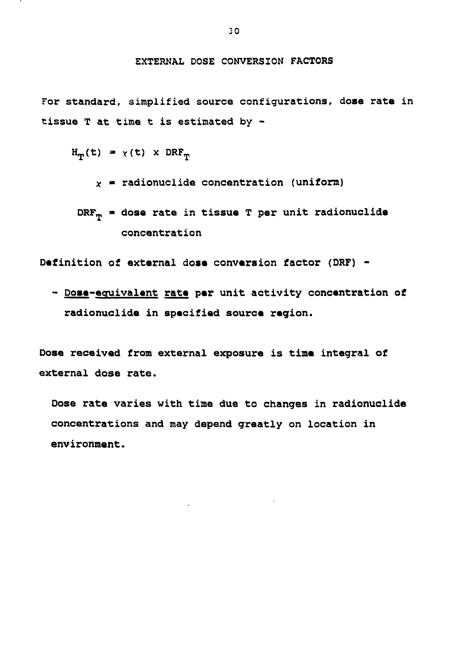#### **EXTERNAL DOSE CONVERSION FACTORS**

**For standard, simplified source configurations, dose rate in tissue T at time t is estimated by -**

$$
H_{\mathbf{m}}(t) = \chi(t) \times DRF_{\mathbf{m}}
$$

 $x$  = radionuclide concentration (uniform)

```
DRFT * dose rate in tissue T per unit radionuclide
concentration
```
**Definition of external dose conversion factor (DRF) -**

**- Dose-equivalent rate per unit activity concentration of radionuclide in specified source region.**

**Dose received from external exposure is time integral of external dose rate.**

**Dose rate varies with time due to changes in radionuclide concentrations and may depend greatly on location in environment.**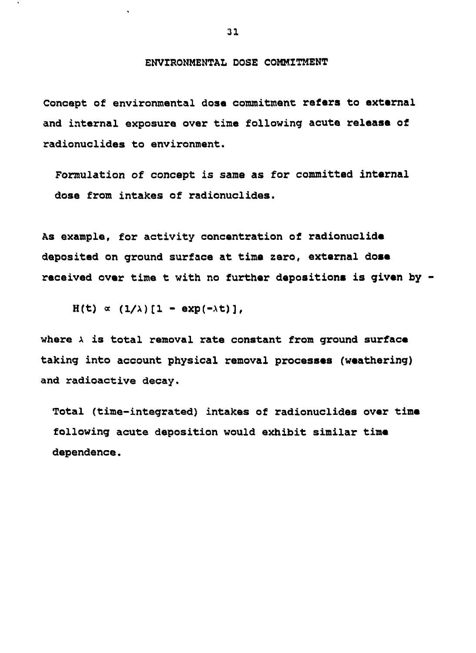**ENVIRONMENTAL DOSE COMMITMENT**

**Concept of environmental dose commitment refers to external and internal exposure over tine following acute release of radionuclides to environment.**

**Formulation of concept is same as for committed internal dose from intakes of radionuclides.**

**As example, for activity concentration of radionuclide deposited on ground surface at time zero, external dose received over time t with no further depositions is given by**

 $H(t) \propto (1/\lambda)[1 - exp(-\lambda t)],$ 

**where x is total removal rate constant from ground surface taking into account physical removal processes (weathering) and radioactive decay.**

**Total (time-integrated) intakes of radionuclides over time following acute deposition would exhibit similar time dependence.**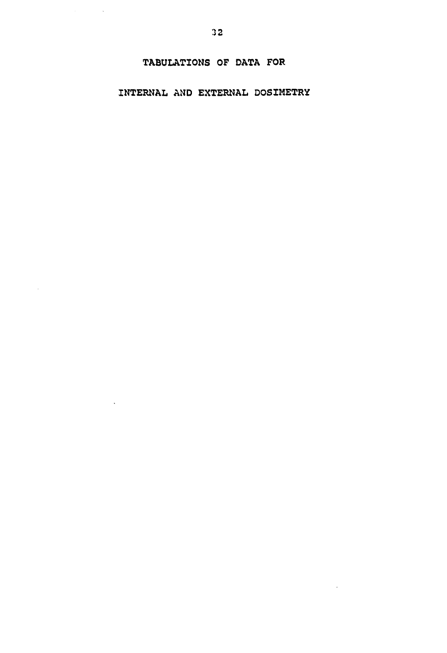## **INTERNAL AND EXTERNAL DOSIMETRY**

 $\alpha_{\rm{max}}=1.5$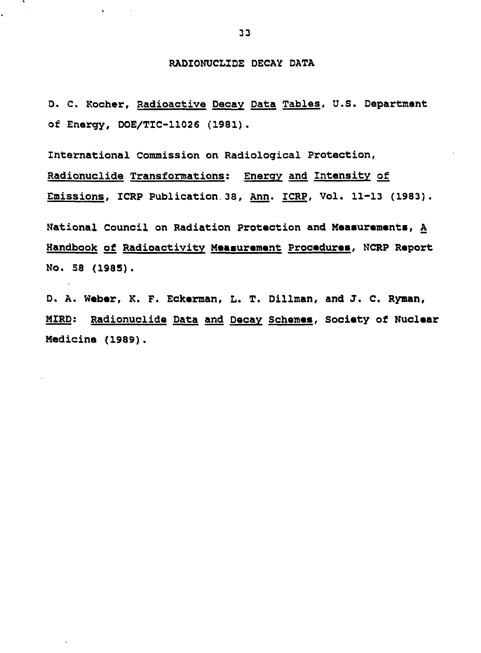#### **RADIONUCLIDE DECAY DATA**

**D. C. Rocher, Radioactive Decay Data Tables, U.S. Department of Energy, DOE/T1C-11026 (1981).**

**International Commission on Radiological Protection, Radionuclide Transformations: Energy and Intensity of Emissions. ICRP Publication 38, Ann. ICRP, Vol. 11-13 (1983).**

**National Council on Radiation Protection and Measurements, A Handbook of Radioactivity Measurement Procedures, NCRP Report No. 58 (1985).**

**D, A. Weber, K. F. Eckerman, L. T. Dillman, and J. C. Ryman, MIRD: Radionuclide Data and Decay Schemes, Society of Nuclear Medicine (1989).**

**Contractor** 

 $\sim 1$ 

 $\bar{\pi}$ 

k.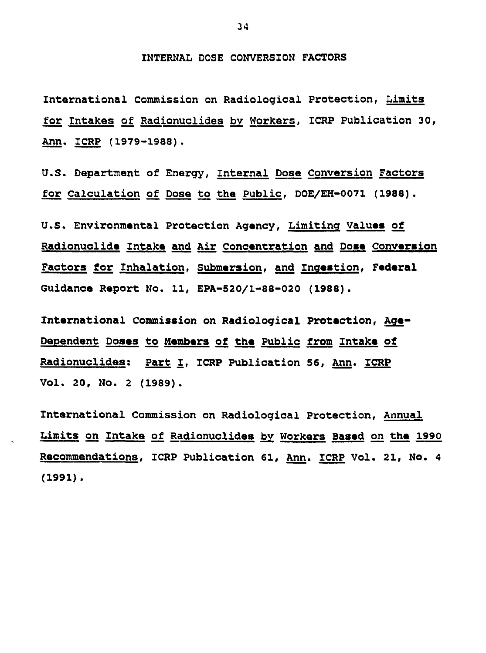**INTERNAL DOSE CONVERSION FACTORS**

**International Commission on Radiological Protection, Limits for Intakes of Radionuclides bv Workers, ICRP Publication 30, Ann. ICRP (1979-1988).**

**U.S. Department of Energy, Internal Dose Conversion Factors for Calculation of Dose to the Public, DOE/EH-0071 (1988).**

**U.S. Environmental Protection Agency, Limiting Values of Radionuclide Intake and Air Concentration and Dose Conversion Factors for Inhalation, Submersion, and Inqestion, Federal Guidance Report No. 11, EPA-520/1-88-020 (1988).**

**International Commission on Radiological Protection, Age-Dependent Doses to Members of the Public from Intake of Radionuclides: Part l, ICRP Publication 56, Ann. ICRP Vol. 20, NO. 2 (1989).**

**International Commission on Radiological Protection, Annual Limits on Intake of Radionucl ides by\_ Workers Based on the 1990 Recommendations, ICRP Publication 61, Ann. ICRP Vol. 21, No. 4 (1991).**

**34**